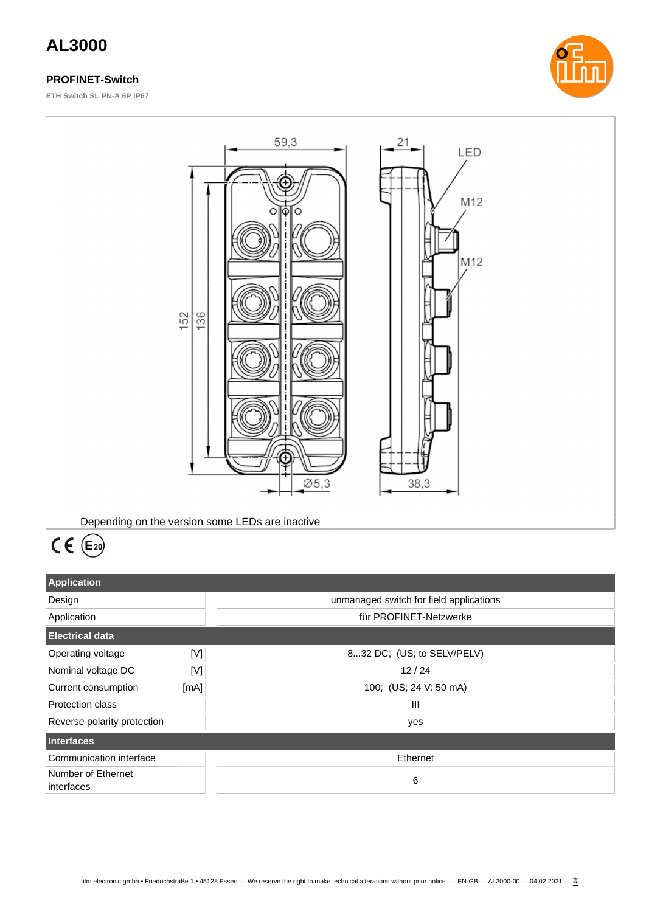# **AL3000**

## **PROFINET-Switch**

**ETH Switch SL PN-A 6P IP67**





# $CE(6)$

| <b>Application</b>               |      |                                         |
|----------------------------------|------|-----------------------------------------|
| Design                           |      | unmanaged switch for field applications |
| Application                      |      | für PROFINET-Netzwerke                  |
| <b>Electrical data</b>           |      |                                         |
| Operating voltage                | [V]  | 832 DC; (US; to SELV/PELV)              |
| Nominal voltage DC               | [V]  | 12/24                                   |
| Current consumption              | [mA] | 100; (US; 24 V: 50 mA)                  |
| Protection class                 |      | Ш                                       |
| Reverse polarity protection      |      | yes                                     |
| <b>Interfaces</b>                |      |                                         |
| Communication interface          |      | Ethernet                                |
| Number of Ethernet<br>interfaces |      | 6                                       |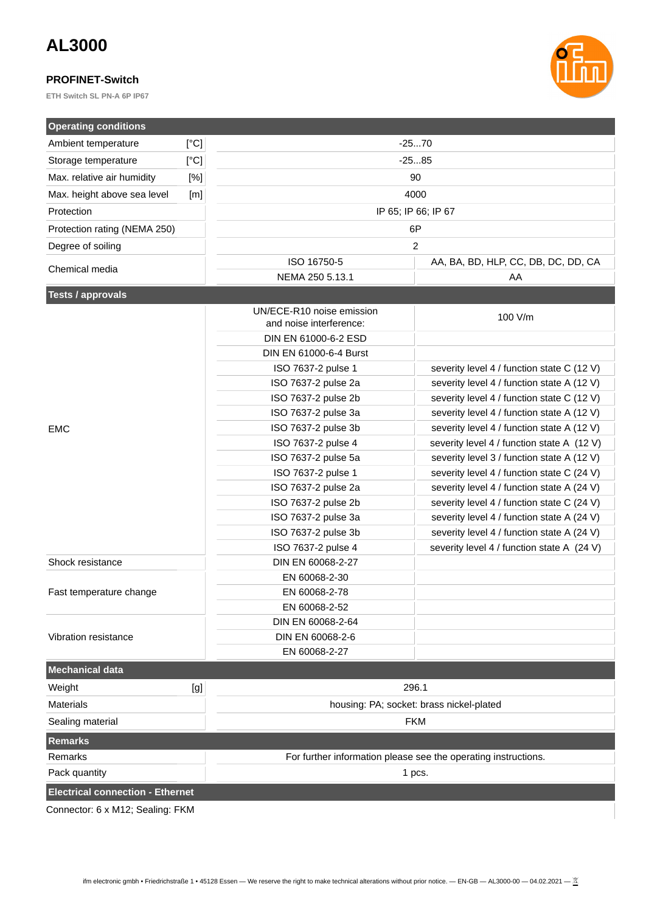# **AL3000**

#### **PROFINET-Switch**

**ETH Switch SL PN-A 6P IP67**



| <b>Operating conditions</b>             |      |                                          |                                                                |  |
|-----------------------------------------|------|------------------------------------------|----------------------------------------------------------------|--|
| Ambient temperature                     | [°C] |                                          | $-2570$                                                        |  |
| Storage temperature                     | [°C] |                                          | $-2585$                                                        |  |
| Max. relative air humidity              | [%]  |                                          | 90                                                             |  |
| Max. height above sea level             | [m]  |                                          | 4000                                                           |  |
| Protection                              |      |                                          | IP 65; IP 66; IP 67                                            |  |
| Protection rating (NEMA 250)            |      | 6P                                       |                                                                |  |
| Degree of soiling                       |      |                                          | 2                                                              |  |
|                                         |      | ISO 16750-5                              | AA, BA, BD, HLP, CC, DB, DC, DD, CA                            |  |
| Chemical media                          |      | NEMA 250 5.13.1                          | AA                                                             |  |
| <b>Tests / approvals</b>                |      |                                          |                                                                |  |
|                                         |      | UN/ECE-R10 noise emission                |                                                                |  |
|                                         |      | and noise interference:                  | 100 V/m                                                        |  |
|                                         |      | DIN EN 61000-6-2 ESD                     |                                                                |  |
|                                         |      | DIN EN 61000-6-4 Burst                   |                                                                |  |
|                                         |      | ISO 7637-2 pulse 1                       | severity level 4 / function state C (12 V)                     |  |
|                                         |      | ISO 7637-2 pulse 2a                      | severity level 4 / function state A (12 V)                     |  |
|                                         |      | ISO 7637-2 pulse 2b                      | severity level 4 / function state C (12 V)                     |  |
|                                         |      | ISO 7637-2 pulse 3a                      | severity level 4 / function state A (12 V)                     |  |
| <b>EMC</b>                              |      | ISO 7637-2 pulse 3b                      | severity level 4 / function state A (12 V)                     |  |
|                                         |      | ISO 7637-2 pulse 4                       | severity level 4 / function state A (12 V)                     |  |
|                                         |      | ISO 7637-2 pulse 5a                      | severity level 3 / function state A (12 V)                     |  |
|                                         |      | ISO 7637-2 pulse 1                       | severity level 4 / function state C (24 V)                     |  |
|                                         |      | ISO 7637-2 pulse 2a                      | severity level 4 / function state A (24 V)                     |  |
|                                         |      | ISO 7637-2 pulse 2b                      | severity level 4 / function state C (24 V)                     |  |
|                                         |      | ISO 7637-2 pulse 3a                      | severity level 4 / function state A (24 V)                     |  |
|                                         |      | ISO 7637-2 pulse 3b                      | severity level 4 / function state A (24 V)                     |  |
|                                         |      | ISO 7637-2 pulse 4                       | severity level 4 / function state A (24 V)                     |  |
| Shock resistance                        |      | DIN EN 60068-2-27                        |                                                                |  |
|                                         |      | EN 60068-2-30                            |                                                                |  |
| Fast temperature change                 |      | EN 60068-2-78                            |                                                                |  |
|                                         |      | EN 60068-2-52                            |                                                                |  |
|                                         |      | DIN EN 60068-2-64                        |                                                                |  |
| Vibration resistance                    |      | DIN EN 60068-2-6                         |                                                                |  |
|                                         |      | EN 60068-2-27                            |                                                                |  |
| <b>Mechanical data</b>                  |      |                                          |                                                                |  |
| Weight                                  | [g]  |                                          | 296.1                                                          |  |
| Materials                               |      | housing: PA; socket: brass nickel-plated |                                                                |  |
| Sealing material                        |      | <b>FKM</b>                               |                                                                |  |
| <b>Remarks</b>                          |      |                                          |                                                                |  |
| Remarks                                 |      |                                          | For further information please see the operating instructions. |  |
| Pack quantity                           |      | 1 pcs.                                   |                                                                |  |
| <b>Electrical connection - Ethernet</b> |      |                                          |                                                                |  |
|                                         |      |                                          |                                                                |  |

Connector: 6 x M12; Sealing: FKM